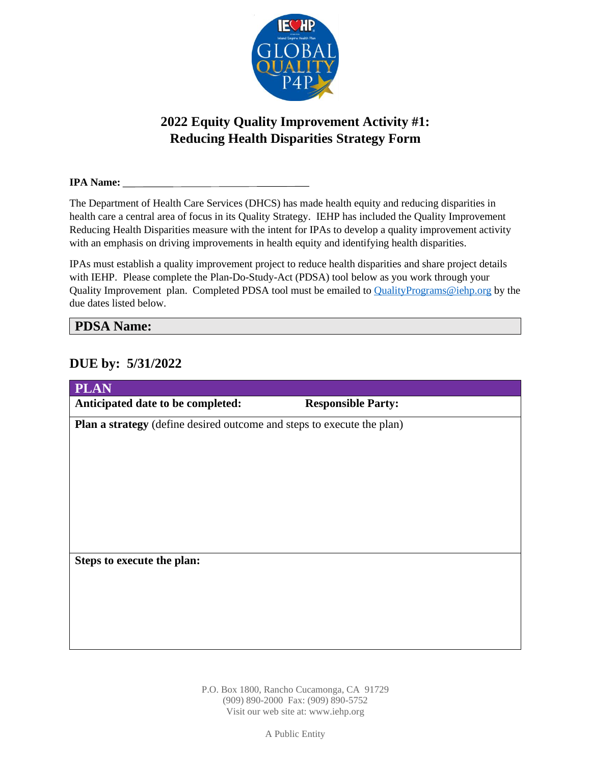

# **2022 Equity Quality Improvement Activity #1: Reducing Health Disparities Strategy Form**

#### **IPA Name:**

The Department of Health Care Services (DHCS) has made health equity and reducing disparities in health care a central area of focus in its Quality Strategy. IEHP has included the Quality Improvement Reducing Health Disparities measure with the intent for IPAs to develop a quality improvement activity with an emphasis on driving improvements in health equity and identifying health disparities.

IPAs must establish a quality improvement project to reduce health disparities and share project details with IEHP. Please complete the Plan-Do-Study-Act (PDSA) tool below as you work through your Quality Improvement plan. Completed PDSA tool must be emailed to [QualityPrograms@iehp.org](mailto:QualityPrograms@iehp.org) by the due dates listed below.

#### **PDSA Name:**

### **DUE by: 5/31/2022**

| <b>PLAN</b>                                                            |                           |
|------------------------------------------------------------------------|---------------------------|
| Anticipated date to be completed:                                      | <b>Responsible Party:</b> |
| Plan a strategy (define desired outcome and steps to execute the plan) |                           |
|                                                                        |                           |
|                                                                        |                           |
|                                                                        |                           |
|                                                                        |                           |
|                                                                        |                           |
|                                                                        |                           |
|                                                                        |                           |
| Steps to execute the plan:                                             |                           |
|                                                                        |                           |
|                                                                        |                           |
|                                                                        |                           |
|                                                                        |                           |
|                                                                        |                           |

P.O. Box 1800, Rancho Cucamonga, CA 91729 (909) 890-2000 Fax: (909) 890-5752 Visit our web site at: www.iehp.org

A Public Entity